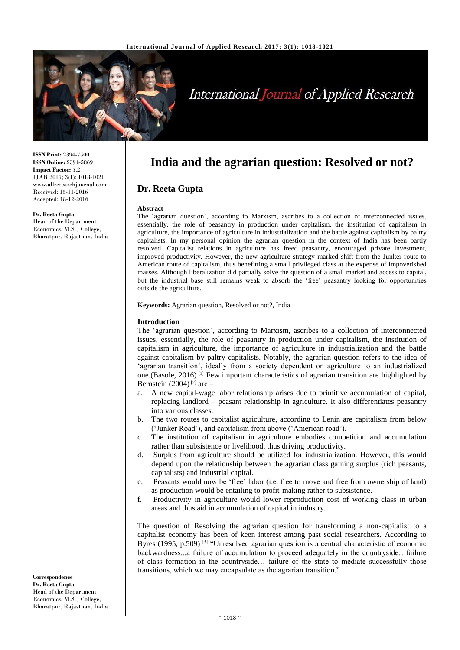

# **International Journal of Applied Research**

**ISSN Print:** 2394-7500 **ISSN Online:** 2394-5869 **Impact Factor:** 5.2 IJAR 2017; 3(1): 1018-1021 www.allresearchjournal.com Received: 15-11-2016 Accepted: 18-12-2016

**Dr. Reeta Gupta**  Head of the Department Economics, M.S.J College, Bharatpur, Rajasthan, India **India and the agrarian question: Resolved or not?**

# **Dr. Reeta Gupta**

### **Abstract**

The 'agrarian question', according to Marxism, ascribes to a collection of interconnected issues, essentially, the role of peasantry in production under capitalism, the institution of capitalism in agriculture, the importance of agriculture in industrialization and the battle against capitalism by paltry capitalists. In my personal opinion the agrarian question in the context of India has been partly resolved. Capitalist relations in agriculture has freed peasantry, encouraged private investment, improved productivity. However, the new agriculture strategy marked shift from the Junker route to American route of capitalism, thus benefitting a small privileged class at the expense of impoverished masses. Although liberalization did partially solve the question of a small market and access to capital, but the industrial base still remains weak to absorb the 'free' peasantry looking for opportunities outside the agriculture.

**Keywords:** Agrarian question, Resolved or not?, India

### **Introduction**

The 'agrarian question', according to Marxism, ascribes to a collection of interconnected issues, essentially, the role of peasantry in production under capitalism, the institution of capitalism in agriculture, the importance of agriculture in industrialization and the battle against capitalism by paltry capitalists. Notably, the agrarian question refers to the idea of 'agrarian transition', ideally from a society dependent on agriculture to an industrialized one.(Basole, 2016)<sup>[1]</sup> Few important characteristics of agrarian transition are highlighted by Bernstein (2004)<sup>[2]</sup> are  $-$ 

- a. A new capital-wage labor relationship arises due to primitive accumulation of capital, replacing landlord – peasant relationship in agriculture. It also differentiates peasantry into various classes.
- b. The two routes to capitalist agriculture, according to Lenin are capitalism from below ('Junker Road'), and capitalism from above ('American road').
- c. The institution of capitalism in agriculture embodies competition and accumulation rather than subsistence or livelihood, thus driving productivity.
- d. Surplus from agriculture should be utilized for industrialization. However, this would depend upon the relationship between the agrarian class gaining surplus (rich peasants, capitalists) and industrial capital.
- e. Peasants would now be 'free' labor (i.e. free to move and free from ownership of land) as production would be entailing to profit-making rather to subsistence.
- f. Productivity in agriculture would lower reproduction cost of working class in urban areas and thus aid in accumulation of capital in industry.

The question of Resolving the agrarian question for transforming a non-capitalist to a capitalist economy has been of keen interest among past social researchers. According to Byres (1995, p.509)<sup>[3]</sup> "Unresolved agrarian question is a central characteristic of economic backwardness...a failure of accumulation to proceed adequately in the countryside…failure of class formation in the countryside… failure of the state to mediate successfully those transitions, which we may encapsulate as the agrarian transition."

**Correspondence Dr. Reeta Gupta**  Head of the Department Economics, M.S.J College, Bharatpur, Rajasthan, India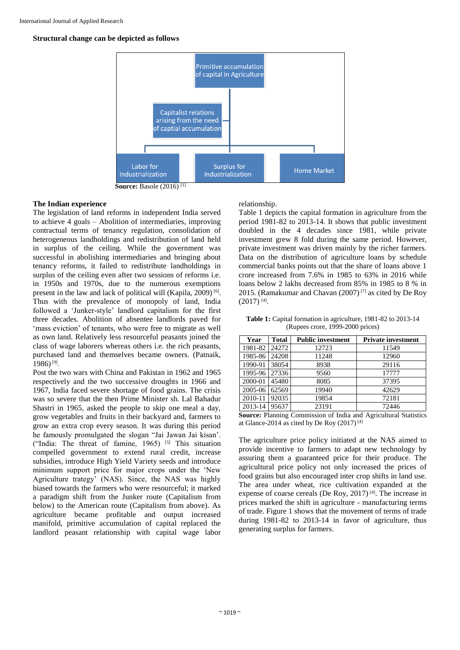## **Structural change can be depicted as follows**



**Source:** Basole (2016) [1]

## **The Indian experience**

The legislation of land reforms in independent India served to achieve 4 goals – Abolition of intermediaries, improving contractual terms of tenancy regulation, consolidation of heterogeneous landholdings and redistribution of land held in surplus of the ceiling. While the government was successful in abolishing intermediaries and bringing about tenancy reforms, it failed to redistribute landholdings in surplus of the ceiling even after two sessions of reforms i.e. in 1950s and 1970s, due to the numerous exemptions present in the law and lack of political will (Kapila, 2009)<sup>[6]</sup>. Thus with the prevalence of monopoly of land, India followed a 'Junker-style' landlord capitalism for the first three decades. Abolition of absentee landlords paved for 'mass eviction' of tenants, who were free to migrate as well as own land. Relatively less resourceful peasants joined the class of wage laborers whereas others i.e. the rich peasants, purchased land and themselves became owners. (Patnaik, 1986)<sup>[9]</sup>.

Post the two wars with China and Pakistan in 1962 and 1965 respectively and the two successive droughts in 1966 and 1967, India faced severe shortage of food grains. The crisis was so severe that the then Prime Minister sh. Lal Bahadur Shastri in 1965, asked the people to skip one meal a day, grow vegetables and fruits in their backyard and, farmers to grow an extra crop every season. It was during this period he famously promulgated the slogan "Jai Jawan Jai kisan'. ("India: The threat of famine,  $1965$ ) <sup>[5]</sup> This situation compelled government to extend rural credit, increase subsidies, introduce High Yield Variety seeds and introduce minimum support price for major crops under the 'New Agriculture trategy' (NAS). Since, the NAS was highly biased towards the farmers who were resourceful; it marked a paradigm shift from the Junker route (Capitalism from below) to the American route (Capitalism from above). As agriculture became profitable and output increased manifold, primitive accumulation of capital replaced the landlord peasant relationship with capital wage labor

relationship.

Table 1 depicts the capital formation in agriculture from the period 1981-82 to 2013-14. It shows that public investment doubled in the 4 decades since 1981, while private investment grew 8 fold during the same period. However, private investment was driven mainly by the richer farmers. Data on the distribution of agriculture loans by schedule commercial banks points out that the share of loans above 1 crore increased from 7.6% in 1985 to 63% in 2016 while loans below 2 lakhs decreased from 85% in 1985 to 8 % in 2015. (Ramakumar and Chavan  $(2007)^{7}$  as cited by De Roy  $(2017)$ <sup>[4]</sup>.

**Table 1:** Capital formation in agriculture, 1981-82 to 2013-14 (Rupees crore, 1999-2000 prices)

| Year    | <b>Total</b> | <b>Public investment</b> | <b>Private investment</b> |
|---------|--------------|--------------------------|---------------------------|
| 1981-82 | 24272        | 12723                    | 11549                     |
| 1985-86 | 24208        | 11248                    | 12960                     |
| 1990-91 | 38054        | 8938                     | 29116                     |
| 1995-96 | 27336        | 9560                     | 17777                     |
| 2000-01 | 45480        | 8085                     | 37395                     |
| 2005-06 | 62569        | 19940                    | 42629                     |
| 2010-11 | 92035        | 19854                    | 72181                     |
| 2013-14 | 95637        | 23191                    | 72446                     |

**Source:** Planning Commission of India and Agricultural Statistics at Glance-2014 as cited by De Roy  $(2017)^{[4]}$ 

The agriculture price policy initiated at the NAS aimed to provide incentive to farmers to adapt new technology by assuring them a guaranteed price for their produce. The agricultural price policy not only increased the prices of food grains but also encouraged inter crop shifts in land use. The area under wheat, rice cultivation expanded at the expense of coarse cereals (De Roy, 2017) [4]. The increase in prices marked the shift in agriculture - manufacturing terms of trade. Figure 1 shows that the movement of terms of trade during 1981-82 to 2013-14 in favor of agriculture, thus generating surplus for farmers.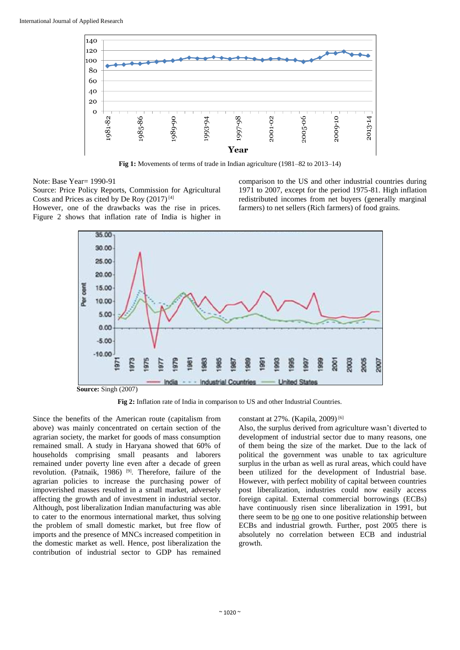

**Fig 1:** Movements of terms of trade in Indian agriculture (1981–82 to 2013–14)

Note: Base Year= 1990-91

Source: Price Policy Reports, Commission for Agricultural Costs and Prices as cited by De Roy  $(2017)^{[4]}$ 

However, one of the drawbacks was the rise in prices. Figure 2 shows that inflation rate of India is higher in comparison to the US and other industrial countries during 1971 to 2007, except for the period 1975-81. High inflation redistributed incomes from net buyers (generally marginal farmers) to net sellers (Rich farmers) of food grains.



**Source:** Singh (2007)

**Fig 2:** Inflation rate of India in comparison to US and other Industrial Countries.

Since the benefits of the American route (capitalism from above) was mainly concentrated on certain section of the agrarian society, the market for goods of mass consumption remained small. A study in Haryana showed that 60% of households comprising small peasants and laborers remained under poverty line even after a decade of green revolution. (Patnaik, 1986)<sup>[9]</sup>. Therefore, failure of the agrarian policies to increase the purchasing power of impoverished masses resulted in a small market, adversely affecting the growth and of investment in industrial sector. Although, post liberalization Indian manufacturing was able to cater to the enormous international market, thus solving the problem of small domestic market, but free flow of imports and the presence of MNCs increased competition in the domestic market as well. Hence, post liberalization the contribution of industrial sector to GDP has remained

### constant at 27%. (Kapila, 2009) [6]

Also, the surplus derived from agriculture wasn't diverted to development of industrial sector due to many reasons, one of them being the size of the market. Due to the lack of political the government was unable to tax agriculture surplus in the urban as well as rural areas, which could have been utilized for the development of Industrial base. However, with perfect mobility of capital between countries post liberalization, industries could now easily access foreign capital. External commercial borrowings (ECBs) have continuously risen since liberalization in 1991, but there seem to be no one to one positive relationship between ECBs and industrial growth. Further, post 2005 there is absolutely no correlation between ECB and industrial growth.